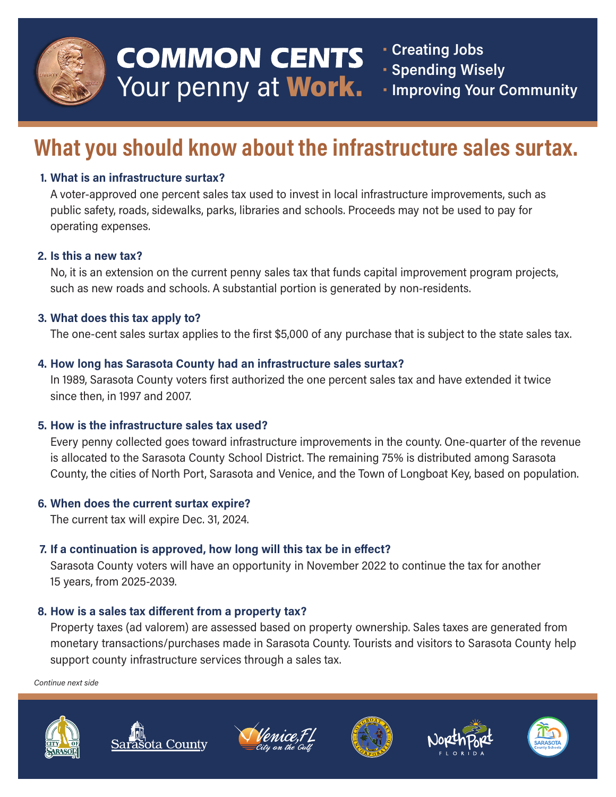

# **COMMON CENTS** Your penny at Work.

• Creating Jobs

- **· Spending Wisely**
- **Improving Your Community**

# What you should know about the infrastructure sales surtax.

# 1. What is an infrastructure surtax?

A voter-approved one percent sales tax used to invest in local infrastructure improvements, such as public safety, roads, sidewalks, parks, libraries and schools. Proceeds may not be used to pay for operating expenses.

#### 2. Is this a new tax?

No, it is an extension on the current penny sales tax that funds capital improvement program projects, such as new roads and schools. A substantial portion is generated by non-residents.

# 3. What does this tax apply to?

The one-cent sales surtax applies to the first \$5,000 of any purchase that is subject to the state sales tax.

# 4. How long has Sarasota County had an infrastructure sales surtax?

In 1989, Sarasota County voters first authorized the one percent sales tax and have extended it twice since then, in 1997 and 2007.

# 5. How is the infrastructure sales tax used?

Every penny collected goes toward infrastructure improvements in the county. One-quarter of the revenue is allocated to the Sarasota County School District. The remaining 75% is distributed among Sarasota County, the cities of North Port, Sarasota and Venice, and the Town of Longboat Key, based on population.

# 6. When does the current surtax expire?

The current tax will expire Dec. 31, 2024.

# 7. If a continuation is approved, how long will this tax be in effect?

Sarasota County voters will have an opportunity in November 2022 to continue the tax for another 15 years, from 2025-2039.

# 8. How is a sales tax different from a property tax?

Property taxes (ad valorem) are assessed based on property ownership. Sales taxes are generated from monetary transactions/purchases made in Sarasota County. Tourists and visitors to Sarasota County help support county infrastructure services through a sales tax.

Continue next side